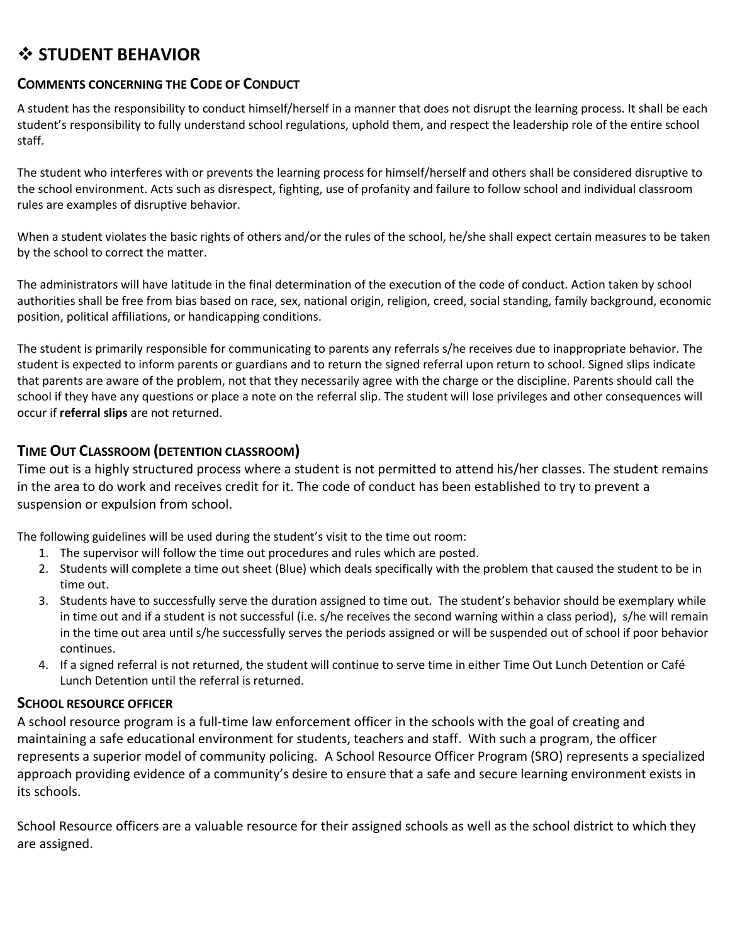# **STUDENT BEHAVIOR**

### **COMMENTS CONCERNING THE CODE OF CONDUCT**

A student has the responsibility to conduct himself/herself in a manner that does not disrupt the learning process. It shall be each student's responsibility to fully understand school regulations, uphold them, and respect the leadership role of the entire school staff.

The student who interferes with or prevents the learning process for himself/herself and others shall be considered disruptive to the school environment. Acts such as disrespect, fighting, use of profanity and failure to follow school and individual classroom rules are examples of disruptive behavior.

When a student violates the basic rights of others and/or the rules of the school, he/she shall expect certain measures to be taken by the school to correct the matter.

The administrators will have latitude in the final determination of the execution of the code of conduct. Action taken by school authorities shall be free from bias based on race, sex, national origin, religion, creed, social standing, family background, economic position, political affiliations, or handicapping conditions.

The student is primarily responsible for communicating to parents any referrals s/he receives due to inappropriate behavior. The student is expected to inform parents or guardians and to return the signed referral upon return to school. Signed slips indicate that parents are aware of the problem, not that they necessarily agree with the charge or the discipline. Parents should call the school if they have any questions or place a note on the referral slip. The student will lose privileges and other consequences will occur if **referral slips** are not returned.

## **TIME OUT CLASSROOM (DETENTION CLASSROOM)**

Time out is a highly structured process where a student is not permitted to attend his/her classes. The student remains in the area to do work and receives credit for it. The code of conduct has been established to try to prevent a suspension or expulsion from school.

The following guidelines will be used during the student's visit to the time out room:

- 1. The supervisor will follow the time out procedures and rules which are posted.
- 2. Students will complete a time out sheet (Blue) which deals specifically with the problem that caused the student to be in time out.
- 3. Students have to successfully serve the duration assigned to time out. The student's behavior should be exemplary while in time out and if a student is not successful (i.e. s/he receives the second warning within a class period), s/he will remain in the time out area until s/he successfully serves the periods assigned or will be suspended out of school if poor behavior continues.
- 4. If a signed referral is not returned, the student will continue to serve time in either Time Out Lunch Detention or Café Lunch Detention until the referral is returned.

### **SCHOOL RESOURCE OFFICER**

A school resource program is a full-time law enforcement officer in the schools with the goal of creating and maintaining a safe educational environment for students, teachers and staff. With such a program, the officer represents a superior model of community policing. A School Resource Officer Program (SRO) represents a specialized approach providing evidence of a community's desire to ensure that a safe and secure learning environment exists in its schools.

School Resource officers are a valuable resource for their assigned schools as well as the school district to which they are assigned.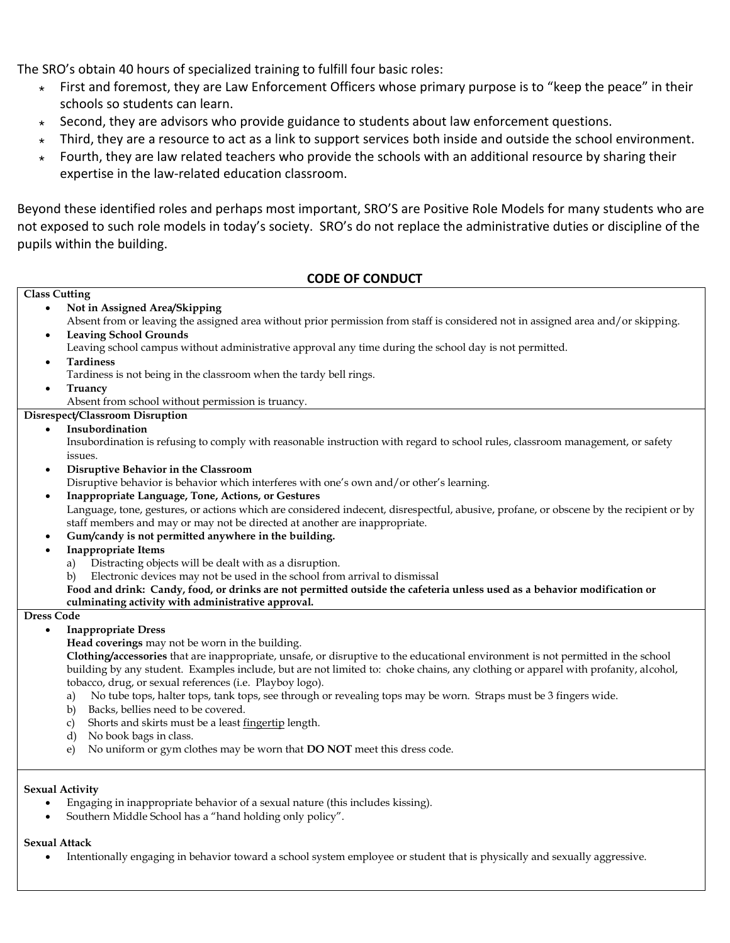The SRO's obtain 40 hours of specialized training to fulfill four basic roles:

- $\star$  First and foremost, they are Law Enforcement Officers whose primary purpose is to "keep the peace" in their schools so students can learn.
- Second, they are advisors who provide guidance to students about law enforcement questions.
- $\star$  Third, they are a resource to act as a link to support services both inside and outside the school environment.
- Fourth, they are law related teachers who provide the schools with an additional resource by sharing their expertise in the law-related education classroom.

Beyond these identified roles and perhaps most important, SRO'S are Positive Role Models for many students who are not exposed to such role models in today's society. SRO's do not replace the administrative duties or discipline of the pupils within the building.

#### **CODE OF CONDUCT**

#### **Class Cutting Not in Assigned Area/Skipping** Absent from or leaving the assigned area without prior permission from staff is considered not in assigned area and/or skipping. **Leaving School Grounds** Leaving school campus without administrative approval any time during the school day is not permitted. **Tardiness** Tardiness is not being in the classroom when the tardy bell rings. **Truancy** Absent from school without permission is truancy. **Disrespect/Classroom Disruption Insubordination** Insubordination is refusing to comply with reasonable instruction with regard to school rules, classroom management, or safety issues. **Disruptive Behavior in the Classroom** Disruptive behavior is behavior which interferes with one's own and/or other's learning. **Inappropriate Language, Tone, Actions, or Gestures** Language, tone, gestures, or actions which are considered indecent, disrespectful, abusive, profane, or obscene by the recipient or by staff members and may or may not be directed at another are inappropriate. **Gum/candy is not permitted anywhere in the building. Inappropriate Items** a) Distracting objects will be dealt with as a disruption. b) Electronic devices may not be used in the school from arrival to dismissal **Food and drink: Candy, food, or drinks are not permitted outside the cafeteria unless used as a behavior modification or culminating activity with administrative approval. Dress Code Inappropriate Dress Head coverings** may not be worn in the building. **Clothing/accessories** that are inappropriate, unsafe, or disruptive to the educational environment is not permitted in the school building by any student. Examples include, but are not limited to: choke chains, any clothing or apparel with profanity, alcohol, tobacco, drug, or sexual references (i.e. Playboy logo). a) No tube tops, halter tops, tank tops, see through or revealing tops may be worn. Straps must be 3 fingers wide. b) Backs, bellies need to be covered. c) Shorts and skirts must be a least fingertip length. d) No book bags in class. e) No uniform or gym clothes may be worn that **DO NOT** meet this dress code.

#### **Sexual Activity**

- Engaging in inappropriate behavior of a sexual nature (this includes kissing).
- Southern Middle School has a "hand holding only policy".

#### **Sexual Attack**

Intentionally engaging in behavior toward a school system employee or student that is physically and sexually aggressive.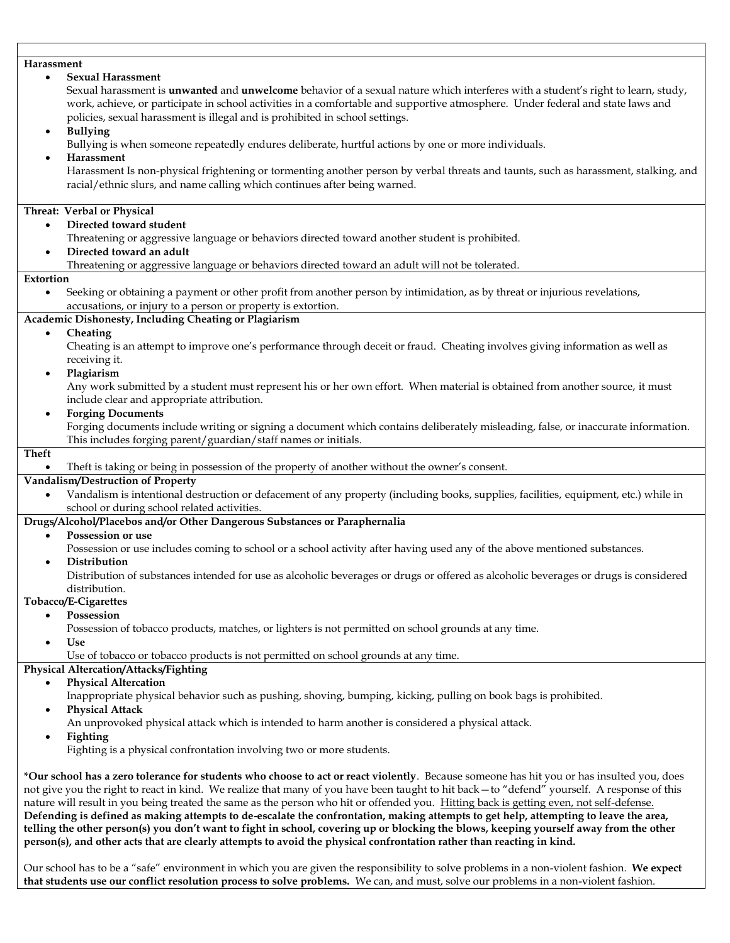| Harassment                                                                                                                                        |
|---------------------------------------------------------------------------------------------------------------------------------------------------|
| <b>Sexual Harassment</b><br>$\bullet$                                                                                                             |
| Sexual harassment is unwanted and unwelcome behavior of a sexual nature which interferes with a student's right to learn, study,                  |
| work, achieve, or participate in school activities in a comfortable and supportive atmosphere. Under federal and state laws and                   |
| policies, sexual harassment is illegal and is prohibited in school settings.                                                                      |
| <b>Bullying</b><br>$\bullet$                                                                                                                      |
| Bullying is when someone repeatedly endures deliberate, hurtful actions by one or more individuals.                                               |
| Harassment<br>$\bullet$                                                                                                                           |
| Harassment Is non-physical frightening or tormenting another person by verbal threats and taunts, such as harassment, stalking, and               |
| racial/ethnic slurs, and name calling which continues after being warned.                                                                         |
|                                                                                                                                                   |
| Threat: Verbal or Physical                                                                                                                        |
| Directed toward student<br>$\bullet$                                                                                                              |
| Threatening or aggressive language or behaviors directed toward another student is prohibited.                                                    |
| Directed toward an adult<br>$\bullet$                                                                                                             |
| Threatening or aggressive language or behaviors directed toward an adult will not be tolerated.                                                   |
| Extortion                                                                                                                                         |
| Seeking or obtaining a payment or other profit from another person by intimidation, as by threat or injurious revelations,<br>$\bullet$           |
| accusations, or injury to a person or property is extortion.                                                                                      |
| Academic Dishonesty, Including Cheating or Plagiarism                                                                                             |
| Cheating<br>$\bullet$                                                                                                                             |
|                                                                                                                                                   |
| Cheating is an attempt to improve one's performance through deceit or fraud. Cheating involves giving information as well as                      |
| receiving it.                                                                                                                                     |
| Plagiarism<br>$\bullet$                                                                                                                           |
| Any work submitted by a student must represent his or her own effort. When material is obtained from another source, it must                      |
| include clear and appropriate attribution.                                                                                                        |
| <b>Forging Documents</b><br>$\bullet$                                                                                                             |
| Forging documents include writing or signing a document which contains deliberately misleading, false, or inaccurate information.                 |
| This includes forging parent/guardian/staff names or initials.                                                                                    |
| <b>Theft</b>                                                                                                                                      |
| Theft is taking or being in possession of the property of another without the owner's consent.<br>$\bullet$                                       |
| Vandalism/Destruction of Property                                                                                                                 |
| Vandalism is intentional destruction or defacement of any property (including books, supplies, facilities, equipment, etc.) while in<br>$\bullet$ |
| school or during school related activities.                                                                                                       |
| Drugs/Alcohol/Placebos and/or Other Dangerous Substances or Paraphernalia                                                                         |
| Possession or use<br>$\bullet$                                                                                                                    |
| Possession or use includes coming to school or a school activity after having used any of the above mentioned substances.                         |
| Distribution                                                                                                                                      |
| Distribution of substances intended for use as alcoholic beverages or drugs or offered as alcoholic beverages or drugs is considered              |
| distribution.                                                                                                                                     |
| Tobacco/E-Cigarettes                                                                                                                              |
| Possession<br>$\bullet$                                                                                                                           |
| Possession of tobacco products, matches, or lighters is not permitted on school grounds at any time.                                              |
| Use                                                                                                                                               |
| Use of tobacco or tobacco products is not permitted on school grounds at any time.                                                                |
| Physical Altercation/Attacks/Fighting                                                                                                             |
| <b>Physical Altercation</b><br>$\bullet$                                                                                                          |
| Inappropriate physical behavior such as pushing, shoving, bumping, kicking, pulling on book bags is prohibited.                                   |
| <b>Physical Attack</b><br>$\bullet$                                                                                                               |
| An unprovoked physical attack which is intended to harm another is considered a physical attack.                                                  |
| Fighting<br>$\bullet$                                                                                                                             |
| Fighting is a physical confrontation involving two or more students.                                                                              |
|                                                                                                                                                   |
| *Our school has a zero tolerance for students who choose to act or react violently. Because someone has hit you or has insulted you, does         |
| not give you the right to react in kind. We realize that many of you have been taught to hit back - to "defend" yourself. A response of this      |
| nature will result in you being treated the same as the person who hit or offended you. Hitting back is getting even, not self-defense.           |
| Defending is defined as making attempts to de-escalate the confrontation, making attempts to get help, attempting to leave the area,              |
| telling the other person(s) you don't want to fight in school, covering up or blocking the blows, keeping yourself away from the other            |
| person(s), and other acts that are clearly attempts to avoid the physical confrontation rather than reacting in kind.                             |
|                                                                                                                                                   |

Our school has to be a "safe" environment in which you are given the responsibility to solve problems in a non-violent fashion. **We expect that students use our conflict resolution process to solve problems.** We can, and must, solve our problems in a non-violent fashion.